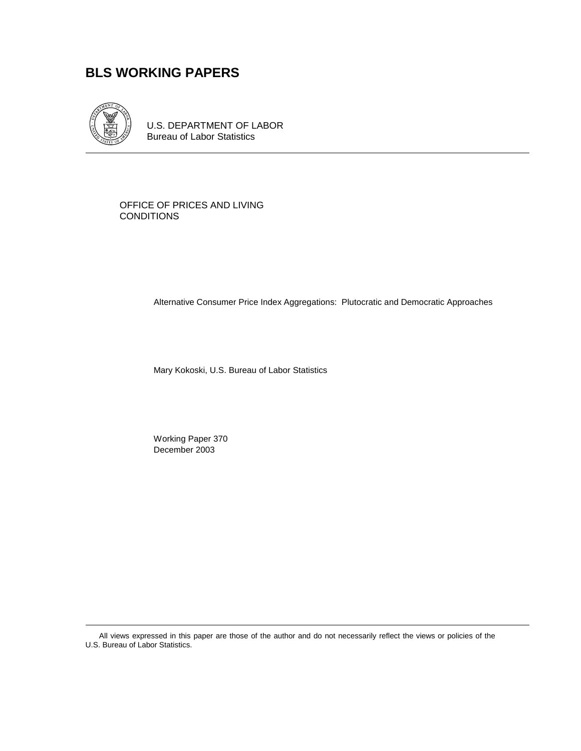# **BLS WORKING PAPERS**



U.S. DEPARTMENT OF LABOR Bureau of Labor Statistics

OFFICE OF PRICES AND LIVING **CONDITIONS** 

Alternative Consumer Price Index Aggregations: Plutocratic and Democratic Approaches

Mary Kokoski, U.S. Bureau of Labor Statistics

 Working Paper 370 December 2003

All views expressed in this paper are those of the author and do not necessarily reflect the views or policies of the U.S. Bureau of Labor Statistics.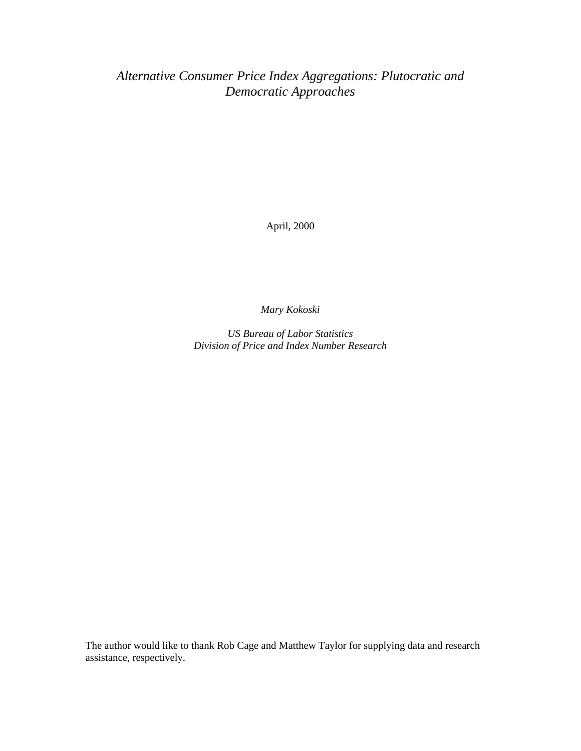*Alternative Consumer Price Index Aggregations: Plutocratic and Democratic Approaches* 

April, 2000

*Mary Kokoski* 

*US Bureau of Labor Statistics Division of Price and Index Number Research* 

The author would like to thank Rob Cage and Matthew Taylor for supplying data and research assistance, respectively.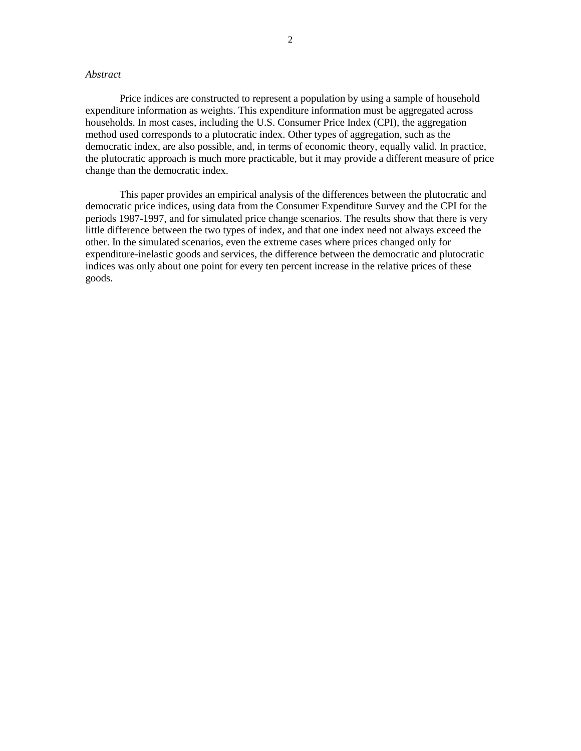#### *Abstract*

Price indices are constructed to represent a population by using a sample of household expenditure information as weights. This expenditure information must be aggregated across households. In most cases, including the U.S. Consumer Price Index (CPI), the aggregation method used corresponds to a plutocratic index. Other types of aggregation, such as the democratic index, are also possible, and, in terms of economic theory, equally valid. In practice, the plutocratic approach is much more practicable, but it may provide a different measure of price change than the democratic index.

This paper provides an empirical analysis of the differences between the plutocratic and democratic price indices, using data from the Consumer Expenditure Survey and the CPI for the periods 1987-1997, and for simulated price change scenarios. The results show that there is very little difference between the two types of index, and that one index need not always exceed the other. In the simulated scenarios, even the extreme cases where prices changed only for expenditure-inelastic goods and services, the difference between the democratic and plutocratic indices was only about one point for every ten percent increase in the relative prices of these goods.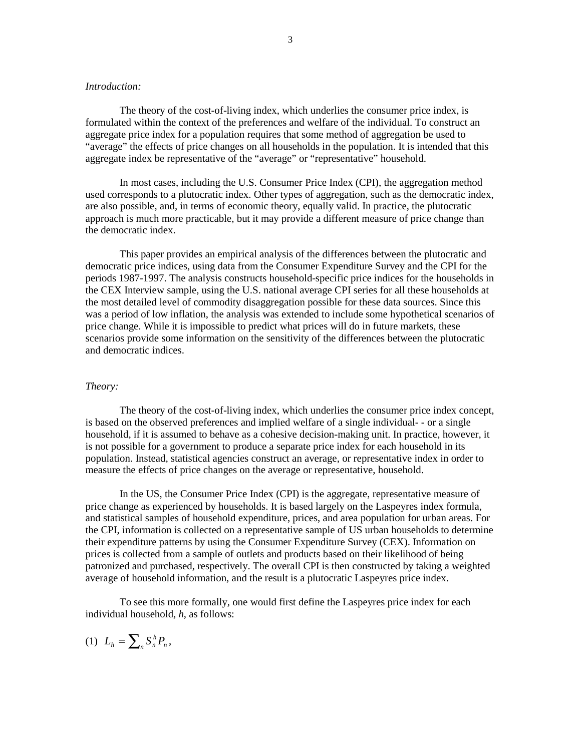#### *Introduction:*

 The theory of the cost-of-living index, which underlies the consumer price index, is formulated within the context of the preferences and welfare of the individual. To construct an aggregate price index for a population requires that some method of aggregation be used to "average" the effects of price changes on all households in the population. It is intended that this aggregate index be representative of the "average" or "representative" household.

 In most cases, including the U.S. Consumer Price Index (CPI), the aggregation method used corresponds to a plutocratic index. Other types of aggregation, such as the democratic index, are also possible, and, in terms of economic theory, equally valid. In practice, the plutocratic approach is much more practicable, but it may provide a different measure of price change than the democratic index.

 This paper provides an empirical analysis of the differences between the plutocratic and democratic price indices, using data from the Consumer Expenditure Survey and the CPI for the periods 1987-1997. The analysis constructs household-specific price indices for the households in the CEX Interview sample, using the U.S. national average CPI series for all these households at the most detailed level of commodity disaggregation possible for these data sources. Since this was a period of low inflation, the analysis was extended to include some hypothetical scenarios of price change. While it is impossible to predict what prices will do in future markets, these scenarios provide some information on the sensitivity of the differences between the plutocratic and democratic indices.

## *Theory:*

 The theory of the cost-of-living index, which underlies the consumer price index concept, is based on the observed preferences and implied welfare of a single individual- - or a single household, if it is assumed to behave as a cohesive decision-making unit. In practice, however, it is not possible for a government to produce a separate price index for each household in its population. Instead, statistical agencies construct an average, or representative index in order to measure the effects of price changes on the average or representative, household.

 In the US, the Consumer Price Index (CPI) is the aggregate, representative measure of price change as experienced by households. It is based largely on the Laspeyres index formula, and statistical samples of household expenditure, prices, and area population for urban areas. For the CPI, information is collected on a representative sample of US urban households to determine their expenditure patterns by using the Consumer Expenditure Survey (CEX). Information on prices is collected from a sample of outlets and products based on their likelihood of being patronized and purchased, respectively. The overall CPI is then constructed by taking a weighted average of household information, and the result is a plutocratic Laspeyres price index.

 To see this more formally, one would first define the Laspeyres price index for each individual household, *h*, as follows:

$$
(1) \quad L_h = \sum_n S_n^h P_n,
$$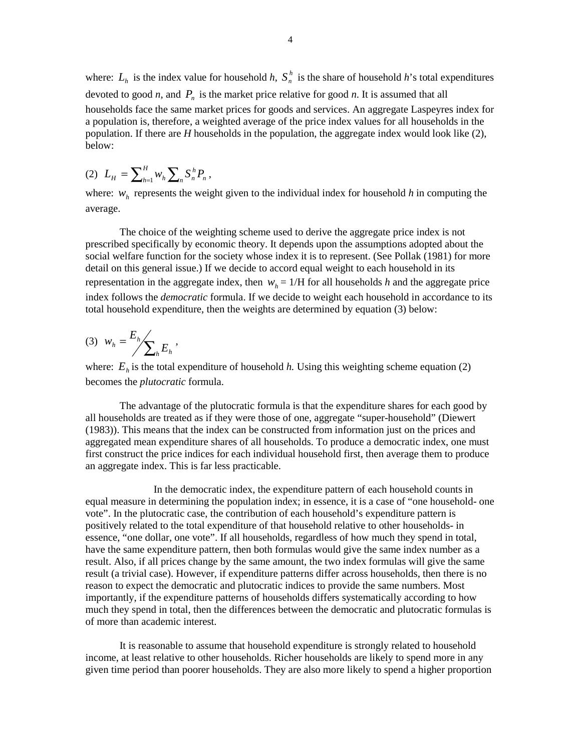where:  $L_h$  is the index value for household *h*,  $S_h^h$  is the share of household *h*'s total expenditures devoted to good *n*, and  $P_n$  is the market price relative for good *n*. It is assumed that all households face the same market prices for goods and services. An aggregate Laspeyres index for a population is, therefore, a weighted average of the price index values for all households in the population. If there are *H* households in the population, the aggregate index would look like (2), below:

$$
(2) \ \ L_H = \sum_{h=1}^H w_h \sum_n S_n^h P_n \,,
$$

where:  $w<sub>h</sub>$  represents the weight given to the individual index for household  $h$  in computing the average.

 The choice of the weighting scheme used to derive the aggregate price index is not prescribed specifically by economic theory. It depends upon the assumptions adopted about the social welfare function for the society whose index it is to represent. (See Pollak (1981) for more detail on this general issue.) If we decide to accord equal weight to each household in its representation in the aggregate index, then  $w<sub>h</sub> = 1/H$  for all households *h* and the aggregate price index follows the *democratic* formula. If we decide to weight each household in accordance to its total household expenditure, then the weights are determined by equation (3) below:

$$
(3) \ \ w_h = \frac{E_h}{\sum_h E_h},
$$

where:  $E_h$  is the total expenditure of household *h*. Using this weighting scheme equation (2) becomes the *plutocratic* formula.

 The advantage of the plutocratic formula is that the expenditure shares for each good by all households are treated as if they were those of one, aggregate "super-household" (Diewert (1983)). This means that the index can be constructed from information just on the prices and aggregated mean expenditure shares of all households. To produce a democratic index, one must first construct the price indices for each individual household first, then average them to produce an aggregate index. This is far less practicable.

 In the democratic index, the expenditure pattern of each household counts in equal measure in determining the population index; in essence, it is a case of "one household- one vote". In the plutocratic case, the contribution of each household's expenditure pattern is positively related to the total expenditure of that household relative to other households- in essence, "one dollar, one vote". If all households, regardless of how much they spend in total, have the same expenditure pattern, then both formulas would give the same index number as a result. Also, if all prices change by the same amount, the two index formulas will give the same result (a trivial case). However, if expenditure patterns differ across households, then there is no reason to expect the democratic and plutocratic indices to provide the same numbers. Most importantly, if the expenditure patterns of households differs systematically according to how much they spend in total, then the differences between the democratic and plutocratic formulas is of more than academic interest.

It is reasonable to assume that household expenditure is strongly related to household income, at least relative to other households. Richer households are likely to spend more in any given time period than poorer households. They are also more likely to spend a higher proportion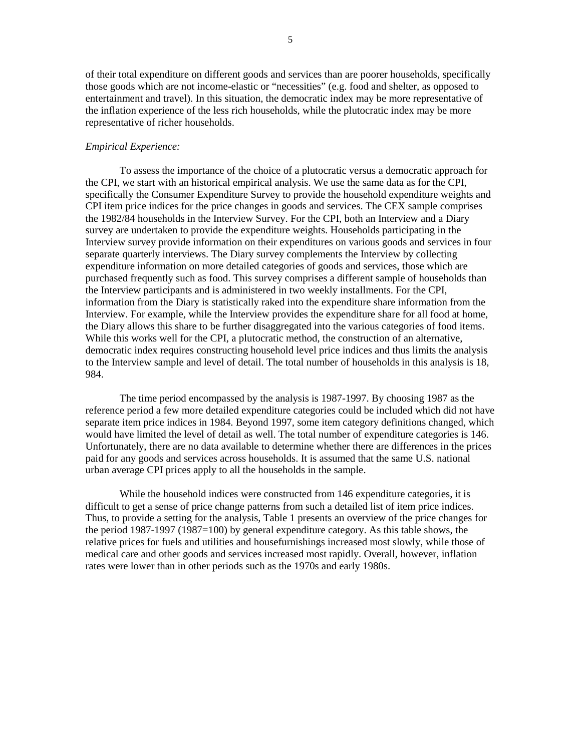of their total expenditure on different goods and services than are poorer households, specifically those goods which are not income-elastic or "necessities" (e.g. food and shelter, as opposed to entertainment and travel). In this situation, the democratic index may be more representative of the inflation experience of the less rich households, while the plutocratic index may be more representative of richer households.

#### *Empirical Experience:*

 To assess the importance of the choice of a plutocratic versus a democratic approach for the CPI, we start with an historical empirical analysis. We use the same data as for the CPI, specifically the Consumer Expenditure Survey to provide the household expenditure weights and CPI item price indices for the price changes in goods and services. The CEX sample comprises the 1982/84 households in the Interview Survey. For the CPI, both an Interview and a Diary survey are undertaken to provide the expenditure weights. Households participating in the Interview survey provide information on their expenditures on various goods and services in four separate quarterly interviews. The Diary survey complements the Interview by collecting expenditure information on more detailed categories of goods and services, those which are purchased frequently such as food. This survey comprises a different sample of households than the Interview participants and is administered in two weekly installments. For the CPI, information from the Diary is statistically raked into the expenditure share information from the Interview. For example, while the Interview provides the expenditure share for all food at home, the Diary allows this share to be further disaggregated into the various categories of food items. While this works well for the CPI, a plutocratic method, the construction of an alternative, democratic index requires constructing household level price indices and thus limits the analysis to the Interview sample and level of detail. The total number of households in this analysis is 18, 984.

 The time period encompassed by the analysis is 1987-1997. By choosing 1987 as the reference period a few more detailed expenditure categories could be included which did not have separate item price indices in 1984. Beyond 1997, some item category definitions changed, which would have limited the level of detail as well. The total number of expenditure categories is 146. Unfortunately, there are no data available to determine whether there are differences in the prices paid for any goods and services across households. It is assumed that the same U.S. national urban average CPI prices apply to all the households in the sample.

 While the household indices were constructed from 146 expenditure categories, it is difficult to get a sense of price change patterns from such a detailed list of item price indices. Thus, to provide a setting for the analysis, Table 1 presents an overview of the price changes for the period 1987-1997 (1987=100) by general expenditure category. As this table shows, the relative prices for fuels and utilities and housefurnishings increased most slowly, while those of medical care and other goods and services increased most rapidly. Overall, however, inflation rates were lower than in other periods such as the 1970s and early 1980s.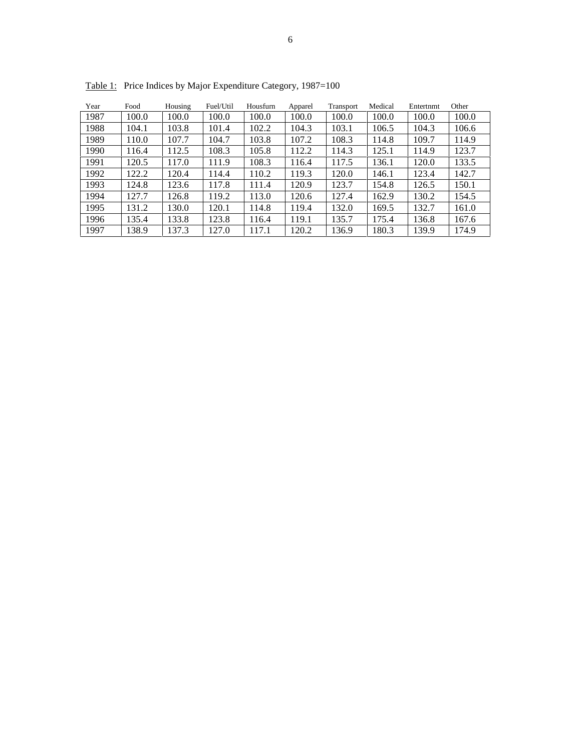| Year | Food  | Housing | Fuel/Util | Housfurn | Apparel | Transport | Medical | Entertnmt | Other |
|------|-------|---------|-----------|----------|---------|-----------|---------|-----------|-------|
| 1987 | 100.0 | 100.0   | 100.0     | 100.0    | 100.0   | 100.0     | 100.0   | 100.0     | 100.0 |
| 1988 | 104.1 | 103.8   | 101.4     | 102.2    | 104.3   | 103.1     | 106.5   | 104.3     | 106.6 |
| 1989 | 110.0 | 107.7   | 104.7     | 103.8    | 107.2   | 108.3     | 114.8   | 109.7     | 114.9 |
| 1990 | 116.4 | 112.5   | 108.3     | 105.8    | 112.2   | 114.3     | 125.1   | 114.9     | 123.7 |
| 1991 | 120.5 | 117.0   | 111.9     | 108.3    | 116.4   | 117.5     | 136.1   | 120.0     | 133.5 |
| 1992 | 122.2 | 120.4   | 114.4     | 110.2    | 119.3   | 120.0     | 146.1   | 123.4     | 142.7 |
| 1993 | 124.8 | 123.6   | 117.8     | 111.4    | 120.9   | 123.7     | 154.8   | 126.5     | 150.1 |
| 1994 | 127.7 | 126.8   | 119.2     | 113.0    | 120.6   | 127.4     | 162.9   | 130.2     | 154.5 |
| 1995 | 131.2 | 130.0   | 120.1     | 114.8    | 119.4   | 132.0     | 169.5   | 132.7     | 161.0 |
| 1996 | 135.4 | 133.8   | 123.8     | 116.4    | 119.1   | 135.7     | 175.4   | 136.8     | 167.6 |
| 1997 | 138.9 | 137.3   | 127.0     | 117.1    | 120.2   | 136.9     | 180.3   | 139.9     | 174.9 |

Table 1: Price Indices by Major Expenditure Category, 1987=100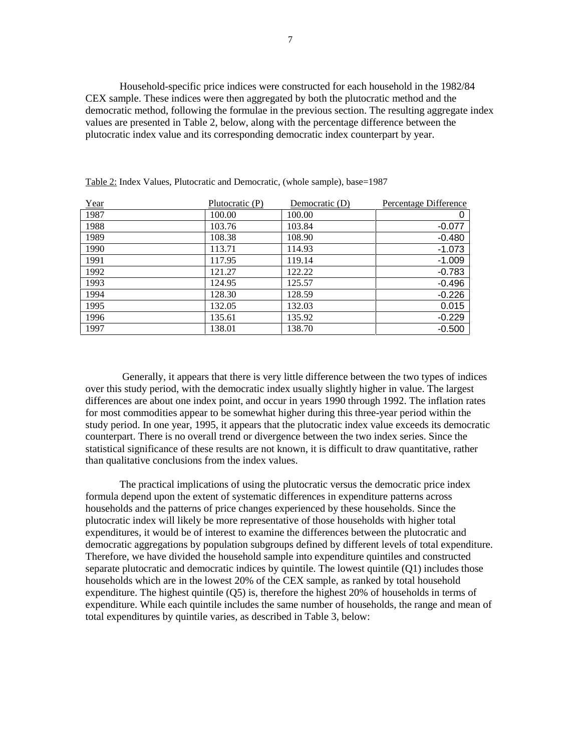Household-specific price indices were constructed for each household in the 1982/84 CEX sample. These indices were then aggregated by both the plutocratic method and the democratic method, following the formulae in the previous section. The resulting aggregate index values are presented in Table 2, below, along with the percentage difference between the plutocratic index value and its corresponding democratic index counterpart by year.

| Year | Plutocratic (P) | Democratic (D) | Percentage Difference |
|------|-----------------|----------------|-----------------------|
| 1987 | 100.00          | 100.00         | 0                     |
| 1988 | 103.76          | 103.84         | $-0.077$              |
| 1989 | 108.38          | 108.90         | $-0.480$              |
| 1990 | 113.71          | 114.93         | $-1.073$              |
| 1991 | 117.95          | 119.14         | $-1.009$              |
| 1992 | 121.27          | 122.22         | $-0.783$              |
| 1993 | 124.95          | 125.57         | $-0.496$              |
| 1994 | 128.30          | 128.59         | $-0.226$              |
| 1995 | 132.05          | 132.03         | 0.015                 |
| 1996 | 135.61          | 135.92         | $-0.229$              |
| 1997 | 138.01          | 138.70         | $-0.500$              |

Table 2: Index Values, Plutocratic and Democratic, (whole sample), base=1987

 Generally, it appears that there is very little difference between the two types of indices over this study period, with the democratic index usually slightly higher in value. The largest differences are about one index point, and occur in years 1990 through 1992. The inflation rates for most commodities appear to be somewhat higher during this three-year period within the study period. In one year, 1995, it appears that the plutocratic index value exceeds its democratic counterpart. There is no overall trend or divergence between the two index series. Since the statistical significance of these results are not known, it is difficult to draw quantitative, rather than qualitative conclusions from the index values.

 The practical implications of using the plutocratic versus the democratic price index formula depend upon the extent of systematic differences in expenditure patterns across households and the patterns of price changes experienced by these households. Since the plutocratic index will likely be more representative of those households with higher total expenditures, it would be of interest to examine the differences between the plutocratic and democratic aggregations by population subgroups defined by different levels of total expenditure. Therefore, we have divided the household sample into expenditure quintiles and constructed separate plutocratic and democratic indices by quintile. The lowest quintile (Q1) includes those households which are in the lowest 20% of the CEX sample, as ranked by total household expenditure. The highest quintile  $(Q5)$  is, therefore the highest 20% of households in terms of expenditure. While each quintile includes the same number of households, the range and mean of total expenditures by quintile varies, as described in Table 3, below: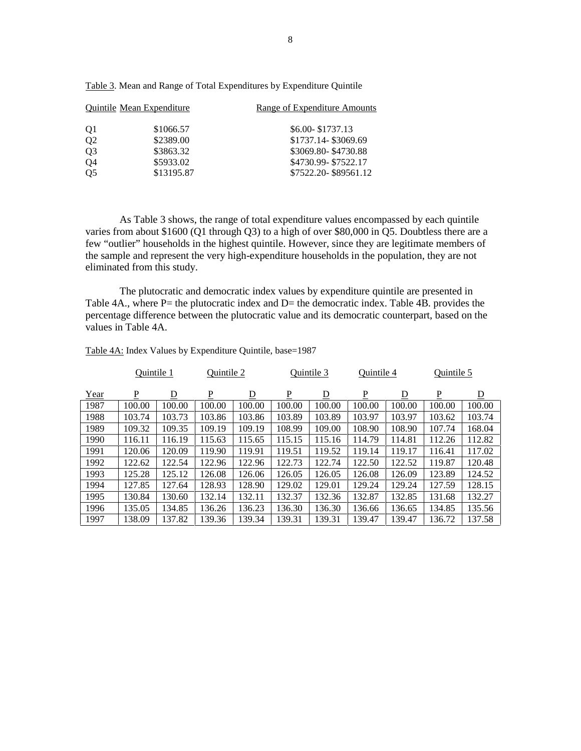|                | Quintile Mean Expenditure | Range of Expenditure Amounts |
|----------------|---------------------------|------------------------------|
| Q <sub>1</sub> | \$1066.57                 | \$6.00-\$1737.13             |
| Q <sub>2</sub> | \$2389.00                 | \$1737.14-\$3069.69          |
| Q <sub>3</sub> | \$3863.32                 | \$3069.80-\$4730.88          |
| Q4             | \$5933.02                 | \$4730.99-\$7522.17          |
| Q <sub>5</sub> | \$13195.87                | \$7522.20-\$89561.12         |

Table 3. Mean and Range of Total Expenditures by Expenditure Quintile

As Table 3 shows, the range of total expenditure values encompassed by each quintile varies from about \$1600 (Q1 through Q3) to a high of over \$80,000 in Q5. Doubtless there are a few "outlier" households in the highest quintile. However, since they are legitimate members of the sample and represent the very high-expenditure households in the population, they are not eliminated from this study.

 The plutocratic and democratic index values by expenditure quintile are presented in Table 4A., where  $P=$  the plutocratic index and  $D=$  the democratic index. Table 4B. provides the percentage difference between the plutocratic value and its democratic counterpart, based on the values in Table 4A.

|      | Ouintile 1     |                | Ouintile 2     |                |                 | Ouintile 3              | <b>Ouintile 4</b> |                         | Ouintile 5     |                |
|------|----------------|----------------|----------------|----------------|-----------------|-------------------------|-------------------|-------------------------|----------------|----------------|
| Year | $\overline{P}$ | $\overline{D}$ | $\overline{P}$ | $\overline{D}$ | $\underline{P}$ | $\overline{\mathsf{D}}$ | $\overline{P}$    | $\overline{\mathsf{D}}$ | $\overline{P}$ | $\overline{D}$ |
| 1987 | 100.00         | 100.00         | 100.00         | 100.00         | 100.00          | 100.00                  | 100.00            | 100.00                  | 100.00         | 100.00         |
| 1988 | 103.74         | 103.73         | 103.86         | 103.86         | 103.89          | 103.89                  | 103.97            | 103.97                  | 103.62         | 103.74         |
| 1989 | 109.32         | 109.35         | 109.19         | 109.19         | 108.99          | 109.00                  | 108.90            | 108.90                  | 107.74         | 168.04         |
| 1990 | 116.11         | 116.19         | 115.63         | 115.65         | 115.15          | 115.16                  | 114.79            | 114.81                  | 112.26         | 112.82         |
| 1991 | 120.06         | 120.09         | 119.90         | 119.91         | 119.51          | 119.52                  | 119.14            | 119.17                  | 116.41         | 117.02         |
| 1992 | 122.62         | 122.54         | 122.96         | 122.96         | 122.73          | 122.74                  | 122.50            | 122.52                  | 119.87         | 120.48         |
| 1993 | 125.28         | 125.12         | 126.08         | 126.06         | 126.05          | 126.05                  | 126.08            | 126.09                  | 123.89         | 124.52         |
| 1994 | 127.85         | 127.64         | 128.93         | 128.90         | 129.02          | 129.01                  | 129.24            | 129.24                  | 127.59         | 128.15         |
| 1995 | 130.84         | 130.60         | 132.14         | 132.11         | 132.37          | 132.36                  | 132.87            | 132.85                  | 131.68         | 132.27         |
| 1996 | 135.05         | 134.85         | 136.26         | 136.23         | 136.30          | 136.30                  | 136.66            | 136.65                  | 134.85         | 135.56         |
| 1997 | 138.09         | 137.82         | 139.36         | 139.34         | 139.31          | 139.31                  | 139.47            | 139.47                  | 136.72         | 137.58         |

Table 4A: Index Values by Expenditure Quintile, base=1987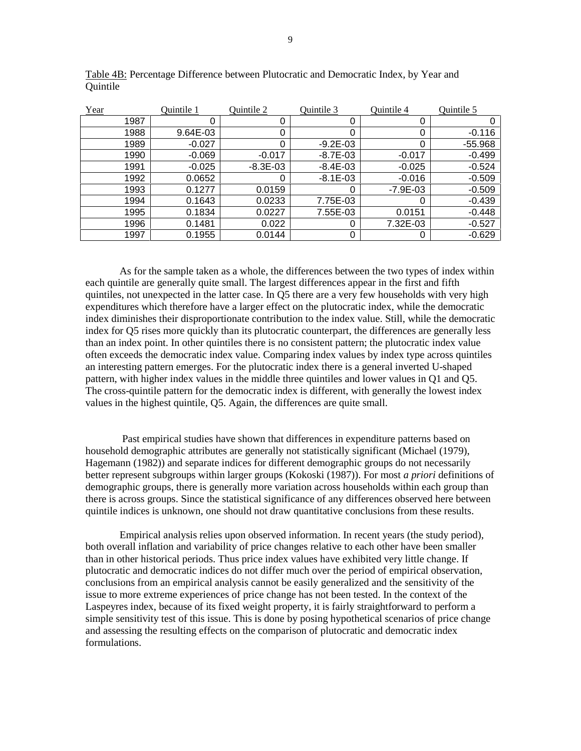| Year | Quintile 1 | Quintile 2   | Quintile 3   | Quintile 4   | Quintile 5 |
|------|------------|--------------|--------------|--------------|------------|
| 1987 |            | 0            |              |              |            |
| 1988 | 9.64E-03   | 0            | 0            | 0            | $-0.116$   |
| 1989 | $-0.027$   | 0            | $-9.2E - 03$ | 0            | -55.968    |
| 1990 | $-0.069$   | $-0.017$     | $-8.7E - 03$ | $-0.017$     | $-0.499$   |
| 1991 | $-0.025$   | $-8.3E - 03$ | $-8.4E - 03$ | $-0.025$     | $-0.524$   |
| 1992 | 0.0652     | 0            | $-8.1E - 03$ | $-0.016$     | $-0.509$   |
| 1993 | 0.1277     | 0.0159       |              | $-7.9E - 03$ | $-0.509$   |
| 1994 | 0.1643     | 0.0233       | 7.75E-03     |              | $-0.439$   |
| 1995 | 0.1834     | 0.0227       | 7.55E-03     | 0.0151       | $-0.448$   |
| 1996 | 0.1481     | 0.022        | 0            | 7.32E-03     | $-0.527$   |
| 1997 | 0.1955     | 0.0144       | 0            |              | $-0.629$   |

Table 4B: Percentage Difference between Plutocratic and Democratic Index, by Year and Quintile

As for the sample taken as a whole, the differences between the two types of index within each quintile are generally quite small. The largest differences appear in the first and fifth quintiles, not unexpected in the latter case. In Q5 there are a very few households with very high expenditures which therefore have a larger effect on the plutocratic index, while the democratic index diminishes their disproportionate contribution to the index value. Still, while the democratic index for Q5 rises more quickly than its plutocratic counterpart, the differences are generally less than an index point. In other quintiles there is no consistent pattern; the plutocratic index value often exceeds the democratic index value. Comparing index values by index type across quintiles an interesting pattern emerges. For the plutocratic index there is a general inverted U-shaped pattern, with higher index values in the middle three quintiles and lower values in Q1 and Q5. The cross-quintile pattern for the democratic index is different, with generally the lowest index values in the highest quintile, Q5. Again, the differences are quite small.

 Past empirical studies have shown that differences in expenditure patterns based on household demographic attributes are generally not statistically significant (Michael (1979), Hagemann (1982)) and separate indices for different demographic groups do not necessarily better represent subgroups within larger groups (Kokoski (1987)). For most *a priori* definitions of demographic groups, there is generally more variation across households within each group than there is across groups. Since the statistical significance of any differences observed here between quintile indices is unknown, one should not draw quantitative conclusions from these results.

 Empirical analysis relies upon observed information. In recent years (the study period), both overall inflation and variability of price changes relative to each other have been smaller than in other historical periods. Thus price index values have exhibited very little change. If plutocratic and democratic indices do not differ much over the period of empirical observation, conclusions from an empirical analysis cannot be easily generalized and the sensitivity of the issue to more extreme experiences of price change has not been tested. In the context of the Laspeyres index, because of its fixed weight property, it is fairly straightforward to perform a simple sensitivity test of this issue. This is done by posing hypothetical scenarios of price change and assessing the resulting effects on the comparison of plutocratic and democratic index formulations.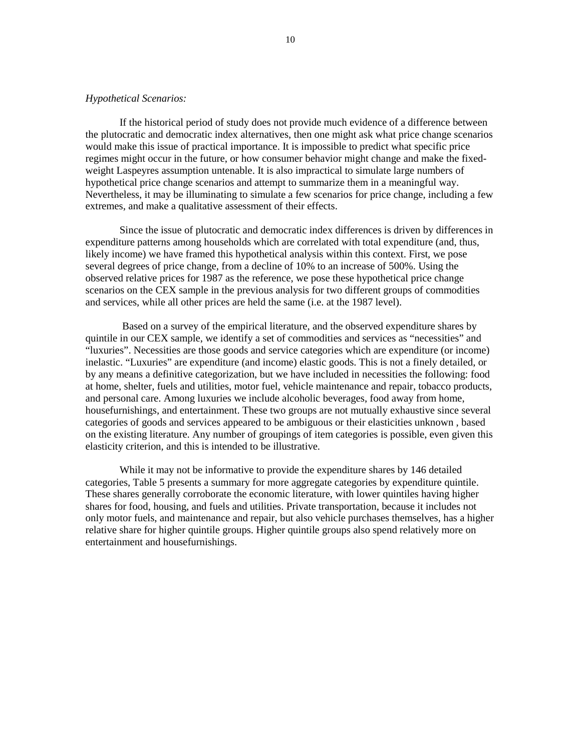## *Hypothetical Scenarios:*

 If the historical period of study does not provide much evidence of a difference between the plutocratic and democratic index alternatives, then one might ask what price change scenarios would make this issue of practical importance. It is impossible to predict what specific price regimes might occur in the future, or how consumer behavior might change and make the fixedweight Laspeyres assumption untenable. It is also impractical to simulate large numbers of hypothetical price change scenarios and attempt to summarize them in a meaningful way. Nevertheless, it may be illuminating to simulate a few scenarios for price change, including a few extremes, and make a qualitative assessment of their effects.

 Since the issue of plutocratic and democratic index differences is driven by differences in expenditure patterns among households which are correlated with total expenditure (and, thus, likely income) we have framed this hypothetical analysis within this context. First, we pose several degrees of price change, from a decline of 10% to an increase of 500%. Using the observed relative prices for 1987 as the reference, we pose these hypothetical price change scenarios on the CEX sample in the previous analysis for two different groups of commodities and services, while all other prices are held the same (i.e. at the 1987 level).

 Based on a survey of the empirical literature, and the observed expenditure shares by quintile in our CEX sample, we identify a set of commodities and services as "necessities" and "luxuries". Necessities are those goods and service categories which are expenditure (or income) inelastic. "Luxuries" are expenditure (and income) elastic goods. This is not a finely detailed, or by any means a definitive categorization, but we have included in necessities the following: food at home, shelter, fuels and utilities, motor fuel, vehicle maintenance and repair, tobacco products, and personal care. Among luxuries we include alcoholic beverages, food away from home, housefurnishings, and entertainment. These two groups are not mutually exhaustive since several categories of goods and services appeared to be ambiguous or their elasticities unknown , based on the existing literature. Any number of groupings of item categories is possible, even given this elasticity criterion, and this is intended to be illustrative.

While it may not be informative to provide the expenditure shares by 146 detailed categories, Table 5 presents a summary for more aggregate categories by expenditure quintile. These shares generally corroborate the economic literature, with lower quintiles having higher shares for food, housing, and fuels and utilities. Private transportation, because it includes not only motor fuels, and maintenance and repair, but also vehicle purchases themselves, has a higher relative share for higher quintile groups. Higher quintile groups also spend relatively more on entertainment and housefurnishings.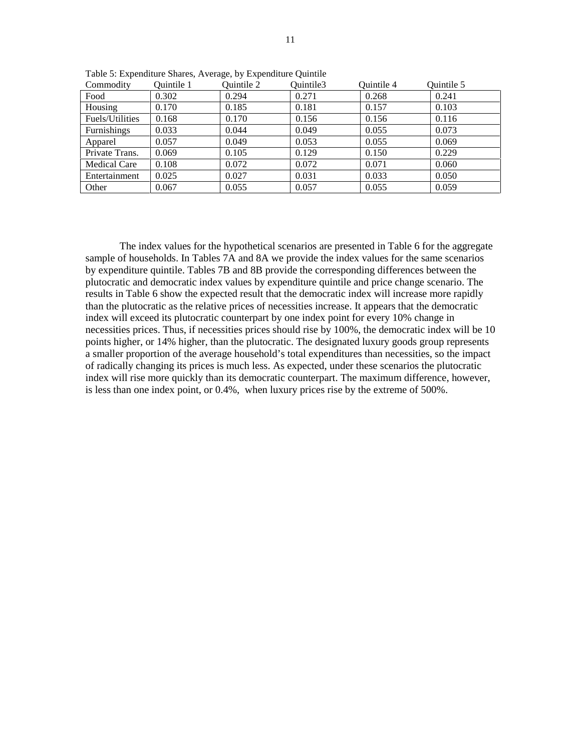| Commodity           | Quintile 1 | Quintile 2 | Quintile3 | Ouintile 4 | Quintile 5 |
|---------------------|------------|------------|-----------|------------|------------|
| Food                | 0.302      | 0.294      | 0.271     | 0.268      | 0.241      |
| Housing             | 0.170      | 0.185      | 0.181     | 0.157      | 0.103      |
| Fuels/Utilities     | 0.168      | 0.170      | 0.156     | 0.156      | 0.116      |
| Furnishings         | 0.033      | 0.044      | 0.049     | 0.055      | 0.073      |
| Apparel             | 0.057      | 0.049      | 0.053     | 0.055      | 0.069      |
| Private Trans.      | 0.069      | 0.105      | 0.129     | 0.150      | 0.229      |
| <b>Medical Care</b> | 0.108      | 0.072      | 0.072     | 0.071      | 0.060      |
| Entertainment       | 0.025      | 0.027      | 0.031     | 0.033      | 0.050      |
| Other               | 0.067      | 0.055      | 0.057     | 0.055      | 0.059      |

Table 5: Expenditure Shares, Average, by Expenditure Quintile

The index values for the hypothetical scenarios are presented in Table 6 for the aggregate sample of households. In Tables 7A and 8A we provide the index values for the same scenarios by expenditure quintile. Tables 7B and 8B provide the corresponding differences between the plutocratic and democratic index values by expenditure quintile and price change scenario. The results in Table 6 show the expected result that the democratic index will increase more rapidly than the plutocratic as the relative prices of necessities increase. It appears that the democratic index will exceed its plutocratic counterpart by one index point for every 10% change in necessities prices. Thus, if necessities prices should rise by 100%, the democratic index will be 10 points higher, or 14% higher, than the plutocratic. The designated luxury goods group represents a smaller proportion of the average household's total expenditures than necessities, so the impact of radically changing its prices is much less. As expected, under these scenarios the plutocratic index will rise more quickly than its democratic counterpart. The maximum difference, however, is less than one index point, or 0.4%, when luxury prices rise by the extreme of 500%.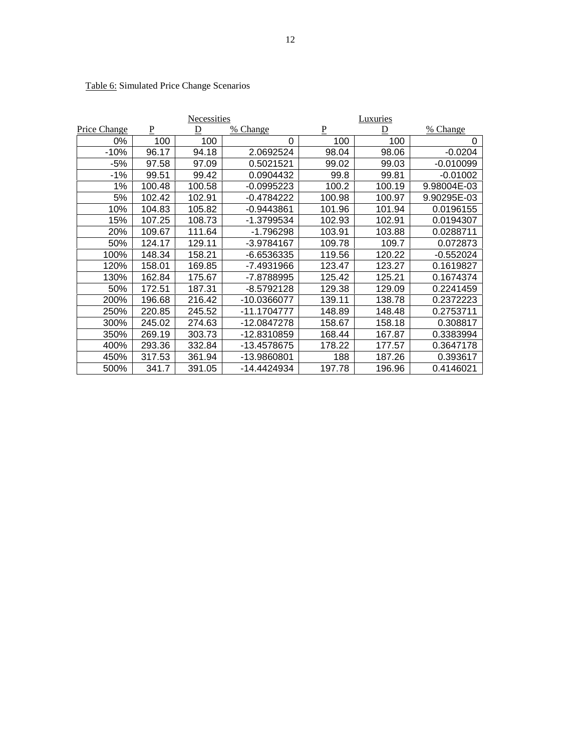|                     |        | Necessities |                 | Luxuries       |        |             |  |
|---------------------|--------|-------------|-----------------|----------------|--------|-------------|--|
| <b>Price Change</b> | P      | D           | <u>% Change</u> | $\overline{P}$ | D      | % Change    |  |
| 0%                  | 100    | 100         | 0               | 100            | 100    | 0           |  |
| -10%                | 96.17  | 94.18       | 2.0692524       | 98.04          | 98.06  | $-0.0204$   |  |
| -5%                 | 97.58  | 97.09       | 0.5021521       | 99.02          | 99.03  | $-0.010099$ |  |
| $-1%$               | 99.51  | 99.42       | 0.0904432       | 99.8           | 99.81  | $-0.01002$  |  |
| 1%                  | 100.48 | 100.58      | -0.0995223      | 100.2          | 100.19 | 9.98004E-03 |  |
| 5%                  | 102.42 | 102.91      | -0.4784222      | 100.98         | 100.97 | 9.90295E-03 |  |
| 10%                 | 104.83 | 105.82      | -0.9443861      | 101.96         | 101.94 | 0.0196155   |  |
| 15%                 | 107.25 | 108.73      | -1.3799534      | 102.93         | 102.91 | 0.0194307   |  |
| 20%                 | 109.67 | 111.64      | -1.796298       | 103.91         | 103.88 | 0.0288711   |  |
| 50%                 | 124.17 | 129.11      | -3.9784167      | 109.78         | 109.7  | 0.072873    |  |
| 100%                | 148.34 | 158.21      | $-6.6536335$    | 119.56         | 120.22 | $-0.552024$ |  |
| 120%                | 158.01 | 169.85      | -7.4931966      | 123.47         | 123.27 | 0.1619827   |  |
| 130%                | 162.84 | 175.67      | -7.8788995      | 125.42         | 125.21 | 0.1674374   |  |
| 50%                 | 172.51 | 187.31      | $-8.5792128$    | 129.38         | 129.09 | 0.2241459   |  |
| 200%                | 196.68 | 216.42      | -10.0366077     | 139.11         | 138.78 | 0.2372223   |  |
| 250%                | 220.85 | 245.52      | -11.1704777     | 148.89         | 148.48 | 0.2753711   |  |
| 300%                | 245.02 | 274.63      | -12.0847278     | 158.67         | 158.18 | 0.308817    |  |
| 350%                | 269.19 | 303.73      | -12.8310859     | 168.44         | 167.87 | 0.3383994   |  |
| 400%                | 293.36 | 332.84      | -13.4578675     | 178.22         | 177.57 | 0.3647178   |  |
| 450%                | 317.53 | 361.94      | -13.9860801     | 188            | 187.26 | 0.393617    |  |
| 500%                | 341.7  | 391.05      | -14.4424934     | 197.78         | 196.96 | 0.4146021   |  |

# Table 6: Simulated Price Change Scenarios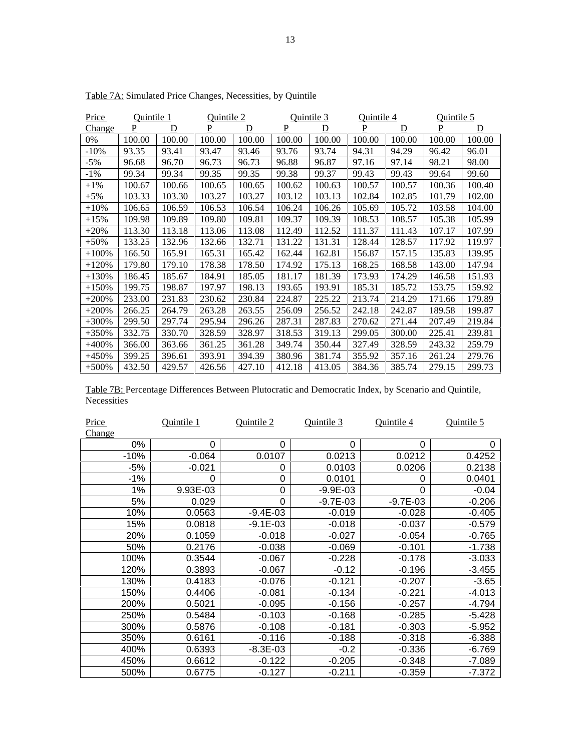| Price   | Quintile 1 |        | Quintile 2 |        |        | Quintile 3 | Quintile 4 |        | Quintile 5 |        |
|---------|------------|--------|------------|--------|--------|------------|------------|--------|------------|--------|
| Change  | P          | D      | P          | D      | P      | D          | P          | D      | P          | D      |
| 0%      | 100.00     | 100.00 | 100.00     | 100.00 | 100.00 | 100.00     | 100.00     | 100.00 | 100.00     | 100.00 |
| $-10\%$ | 93.35      | 93.41  | 93.47      | 93.46  | 93.76  | 93.74      | 94.31      | 94.29  | 96.42      | 96.01  |
| $-5%$   | 96.68      | 96.70  | 96.73      | 96.73  | 96.88  | 96.87      | 97.16      | 97.14  | 98.21      | 98.00  |
| $-1\%$  | 99.34      | 99.34  | 99.35      | 99.35  | 99.38  | 99.37      | 99.43      | 99.43  | 99.64      | 99.60  |
| $+1\%$  | 100.67     | 100.66 | 100.65     | 100.65 | 100.62 | 100.63     | 100.57     | 100.57 | 100.36     | 100.40 |
| $+5%$   | 103.33     | 103.30 | 103.27     | 103.27 | 103.12 | 103.13     | 102.84     | 102.85 | 101.79     | 102.00 |
| $+10%$  | 106.65     | 106.59 | 106.53     | 106.54 | 106.24 | 106.26     | 105.69     | 105.72 | 103.58     | 104.00 |
| $+15%$  | 109.98     | 109.89 | 109.80     | 109.81 | 109.37 | 109.39     | 108.53     | 108.57 | 105.38     | 105.99 |
| $+20%$  | 113.30     | 113.18 | 113.06     | 113.08 | 112.49 | 112.52     | 111.37     | 111.43 | 107.17     | 107.99 |
| $+50%$  | 133.25     | 132.96 | 132.66     | 132.71 | 131.22 | 131.31     | 128.44     | 128.57 | 117.92     | 119.97 |
| $+100%$ | 166.50     | 165.91 | 165.31     | 165.42 | 162.44 | 162.81     | 156.87     | 157.15 | 135.83     | 139.95 |
| $+120%$ | 179.80     | 179.10 | 178.38     | 178.50 | 174.92 | 175.13     | 168.25     | 168.58 | 143.00     | 147.94 |
| $+130%$ | 186.45     | 185.67 | 184.91     | 185.05 | 181.17 | 181.39     | 173.93     | 174.29 | 146.58     | 151.93 |
| $+150%$ | 199.75     | 198.87 | 197.97     | 198.13 | 193.65 | 193.91     | 185.31     | 185.72 | 153.75     | 159.92 |
| $+200%$ | 233.00     | 231.83 | 230.62     | 230.84 | 224.87 | 225.22     | 213.74     | 214.29 | 171.66     | 179.89 |
| $+200%$ | 266.25     | 264.79 | 263.28     | 263.55 | 256.09 | 256.52     | 242.18     | 242.87 | 189.58     | 199.87 |
| $+300%$ | 299.50     | 297.74 | 295.94     | 296.26 | 287.31 | 287.83     | 270.62     | 271.44 | 207.49     | 219.84 |
| $+350%$ | 332.75     | 330.70 | 328.59     | 328.97 | 318.53 | 319.13     | 299.05     | 300.00 | 225.41     | 239.81 |
| $+400%$ | 366.00     | 363.66 | 361.25     | 361.28 | 349.74 | 350.44     | 327.49     | 328.59 | 243.32     | 259.79 |
| $+450%$ | 399.25     | 396.61 | 393.91     | 394.39 | 380.96 | 381.74     | 355.92     | 357.16 | 261.24     | 279.76 |
| $+500%$ | 432.50     | 429.57 | 426.56     | 427.10 | 412.18 | 413.05     | 384.36     | 385.74 | 279.15     | 299.73 |

Table 7A: Simulated Price Changes, Necessities, by Quintile

Table 7B: Percentage Differences Between Plutocratic and Democratic Index, by Scenario and Quintile, Necessities

| Price         | Quintile 1 | Quintile 2   | Quintile 3   | Quintile 4   | Quintile 5 |
|---------------|------------|--------------|--------------|--------------|------------|
| <b>Change</b> |            |              |              |              |            |
| 0%            | 0          | 0            | 0            | 0            | 0          |
| $-10%$        | $-0.064$   | 0.0107       | 0.0213       | 0.0212       | 0.4252     |
| $-5%$         | $-0.021$   | 0            | 0.0103       | 0.0206       | 0.2138     |
| $-1%$         | 0          | 0            | 0.0101       | 0            | 0.0401     |
| 1%            | 9.93E-03   | 0            | $-9.9E - 03$ | $\Omega$     | $-0.04$    |
| 5%            | 0.029      | $\Omega$     | $-9.7E - 03$ | $-9.7E - 03$ | $-0.206$   |
| 10%           | 0.0563     | -9.4E-03     | $-0.019$     | $-0.028$     | $-0.405$   |
| 15%           | 0.0818     | $-9.1E - 03$ | $-0.018$     | $-0.037$     | $-0.579$   |
| 20%           | 0.1059     | $-0.018$     | $-0.027$     | $-0.054$     | $-0.765$   |
| 50%           | 0.2176     | $-0.038$     | $-0.069$     | $-0.101$     | $-1.738$   |
| 100%          | 0.3544     | $-0.067$     | $-0.228$     | $-0.178$     | $-3.033$   |
| 120%          | 0.3893     | $-0.067$     | $-0.12$      | $-0.196$     | $-3.455$   |
| 130%          | 0.4183     | $-0.076$     | $-0.121$     | $-0.207$     | $-3.65$    |
| 150%          | 0.4406     | $-0.081$     | $-0.134$     | $-0.221$     | $-4.013$   |
| 200%          | 0.5021     | $-0.095$     | $-0.156$     | $-0.257$     | $-4.794$   |
| 250%          | 0.5484     | $-0.103$     | $-0.168$     | $-0.285$     | $-5.428$   |
| 300%          | 0.5876     | $-0.108$     | $-0.181$     | $-0.303$     | $-5.952$   |
| 350%          | 0.6161     | $-0.116$     | $-0.188$     | $-0.318$     | $-6.388$   |
| 400%          | 0.6393     | -8.3E-03     | $-0.2$       | $-0.336$     | $-6.769$   |
| 450%          | 0.6612     | $-0.122$     | $-0.205$     | $-0.348$     | $-7.089$   |
| 500%          | 0.6775     | $-0.127$     | $-0.211$     | $-0.359$     | $-7.372$   |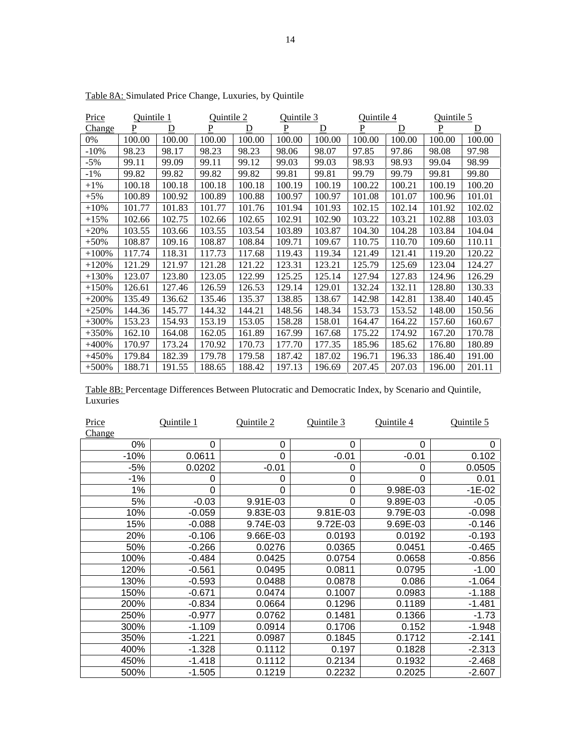| Price   | Ouintile 1 |        | Ouintile 2 |        | Ouintile 3 |        | Ouintile 4 |        | Ouintile 5 |        |
|---------|------------|--------|------------|--------|------------|--------|------------|--------|------------|--------|
| Change  | P          | D      | P          | D      | P          | D      | P          | D      | P          | D      |
| 0%      | 100.00     | 100.00 | 100.00     | 100.00 | 100.00     | 100.00 | 100.00     | 100.00 | 100.00     | 100.00 |
| $-10\%$ | 98.23      | 98.17  | 98.23      | 98.23  | 98.06      | 98.07  | 97.85      | 97.86  | 98.08      | 97.98  |
| $-5%$   | 99.11      | 99.09  | 99.11      | 99.12  | 99.03      | 99.03  | 98.93      | 98.93  | 99.04      | 98.99  |
| $-1\%$  | 99.82      | 99.82  | 99.82      | 99.82  | 99.81      | 99.81  | 99.79      | 99.79  | 99.81      | 99.80  |
| $+1%$   | 100.18     | 100.18 | 100.18     | 100.18 | 100.19     | 100.19 | 100.22     | 100.21 | 100.19     | 100.20 |
| $+5%$   | 100.89     | 100.92 | 100.89     | 100.88 | 100.97     | 100.97 | 101.08     | 101.07 | 100.96     | 101.01 |
| $+10%$  | 101.77     | 101.83 | 101.77     | 101.76 | 101.94     | 101.93 | 102.15     | 102.14 | 101.92     | 102.02 |
| $+15%$  | 102.66     | 102.75 | 102.66     | 102.65 | 102.91     | 102.90 | 103.22     | 103.21 | 102.88     | 103.03 |
| $+20%$  | 103.55     | 103.66 | 103.55     | 103.54 | 103.89     | 103.87 | 104.30     | 104.28 | 103.84     | 104.04 |
| $+50%$  | 108.87     | 109.16 | 108.87     | 108.84 | 109.71     | 109.67 | 110.75     | 110.70 | 109.60     | 110.11 |
| $+100%$ | 117.74     | 118.31 | 117.73     | 117.68 | 119.43     | 119.34 | 121.49     | 121.41 | 119.20     | 120.22 |
| $+120%$ | 121.29     | 121.97 | 121.28     | 121.22 | 123.31     | 123.21 | 125.79     | 125.69 | 123.04     | 124.27 |
| $+130%$ | 123.07     | 123.80 | 123.05     | 122.99 | 125.25     | 125.14 | 127.94     | 127.83 | 124.96     | 126.29 |
| $+150%$ | 126.61     | 127.46 | 126.59     | 126.53 | 129.14     | 129.01 | 132.24     | 132.11 | 128.80     | 130.33 |
| $+200%$ | 135.49     | 136.62 | 135.46     | 135.37 | 138.85     | 138.67 | 142.98     | 142.81 | 138.40     | 140.45 |
| $+250%$ | 144.36     | 145.77 | 144.32     | 144.21 | 148.56     | 148.34 | 153.73     | 153.52 | 148.00     | 150.56 |
| $+300%$ | 153.23     | 154.93 | 153.19     | 153.05 | 158.28     | 158.01 | 164.47     | 164.22 | 157.60     | 160.67 |
| $+350%$ | 162.10     | 164.08 | 162.05     | 161.89 | 167.99     | 167.68 | 175.22     | 174.92 | 167.20     | 170.78 |
| $+400%$ | 170.97     | 173.24 | 170.92     | 170.73 | 177.70     | 177.35 | 185.96     | 185.62 | 176.80     | 180.89 |
| $+450%$ | 179.84     | 182.39 | 179.78     | 179.58 | 187.42     | 187.02 | 196.71     | 196.33 | 186.40     | 191.00 |
| $+500%$ | 188.71     | 191.55 | 188.65     | 188.42 | 197.13     | 196.69 | 207.45     | 207.03 | 196.00     | 201.11 |

Table 8A: Simulated Price Change, Luxuries, by Quintile

Table 8B: Percentage Differences Between Plutocratic and Democratic Index, by Scenario and Quintile, Luxuries

| Price  | Quintile 1 | Quintile 2 | Quintile 3 | Quintile 4 | Quintile 5 |
|--------|------------|------------|------------|------------|------------|
| Change |            |            |            |            |            |
| 0%     | 0          | 0          | 0          | 0          | 0          |
| $-10%$ | 0.0611     | $\Omega$   | $-0.01$    | $-0.01$    | 0.102      |
| -5%    | 0.0202     | $-0.01$    | 0          | 0          | 0.0505     |
| $-1%$  | 0          | 0          | 0          | 0          | 0.01       |
| 1%     | 0          | 0          | 0          | 9.98E-03   | $-1E-02$   |
| 5%     | $-0.03$    | 9.91E-03   | 0          | 9.89E-03   | $-0.05$    |
| 10%    | $-0.059$   | 9.83E-03   | 9.81E-03   | 9.79E-03   | $-0.098$   |
| 15%    | $-0.088$   | 9.74E-03   | 9.72E-03   | 9.69E-03   | $-0.146$   |
| 20%    | $-0.106$   | 9.66E-03   | 0.0193     | 0.0192     | $-0.193$   |
| 50%    | $-0.266$   | 0.0276     | 0.0365     | 0.0451     | $-0.465$   |
| 100%   | $-0.484$   | 0.0425     | 0.0754     | 0.0658     | $-0.856$   |
| 120%   | $-0.561$   | 0.0495     | 0.0811     | 0.0795     | $-1.00$    |
| 130%   | $-0.593$   | 0.0488     | 0.0878     | 0.086      | $-1.064$   |
| 150%   | $-0.671$   | 0.0474     | 0.1007     | 0.0983     | $-1.188$   |
| 200%   | $-0.834$   | 0.0664     | 0.1296     | 0.1189     | $-1.481$   |
| 250%   | $-0.977$   | 0.0762     | 0.1481     | 0.1366     | $-1.73$    |
| 300%   | $-1.109$   | 0.0914     | 0.1706     | 0.152      | $-1.948$   |
| 350%   | $-1.221$   | 0.0987     | 0.1845     | 0.1712     | $-2.141$   |
| 400%   | $-1.328$   | 0.1112     | 0.197      | 0.1828     | $-2.313$   |
| 450%   | $-1.418$   | 0.1112     | 0.2134     | 0.1932     | $-2.468$   |
| 500%   | $-1.505$   | 0.1219     | 0.2232     | 0.2025     | $-2.607$   |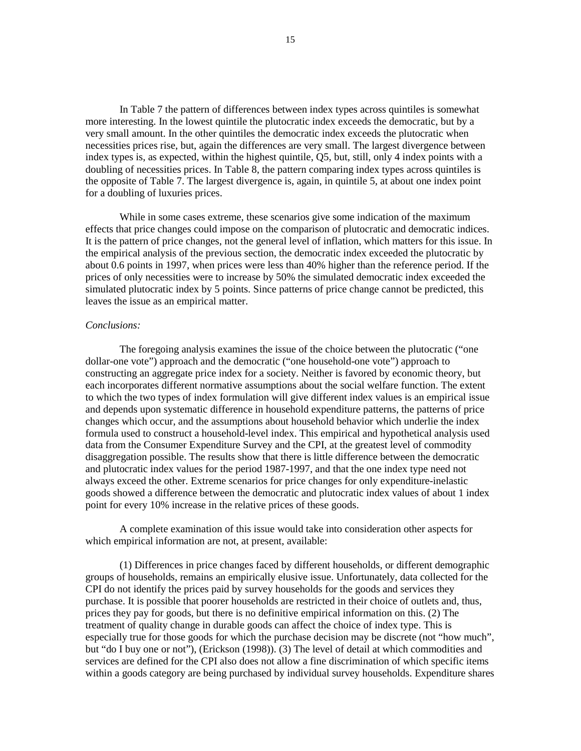In Table 7 the pattern of differences between index types across quintiles is somewhat more interesting. In the lowest quintile the plutocratic index exceeds the democratic, but by a very small amount. In the other quintiles the democratic index exceeds the plutocratic when necessities prices rise, but, again the differences are very small. The largest divergence between index types is, as expected, within the highest quintile, Q5, but, still, only 4 index points with a doubling of necessities prices. In Table 8, the pattern comparing index types across quintiles is the opposite of Table 7. The largest divergence is, again, in quintile 5, at about one index point for a doubling of luxuries prices.

While in some cases extreme, these scenarios give some indication of the maximum effects that price changes could impose on the comparison of plutocratic and democratic indices. It is the pattern of price changes, not the general level of inflation, which matters for this issue. In the empirical analysis of the previous section, the democratic index exceeded the plutocratic by about 0.6 points in 1997, when prices were less than 40% higher than the reference period. If the prices of only necessities were to increase by 50% the simulated democratic index exceeded the simulated plutocratic index by 5 points. Since patterns of price change cannot be predicted, this leaves the issue as an empirical matter.

#### *Conclusions:*

 The foregoing analysis examines the issue of the choice between the plutocratic ("one dollar-one vote") approach and the democratic ("one household-one vote") approach to constructing an aggregate price index for a society. Neither is favored by economic theory, but each incorporates different normative assumptions about the social welfare function. The extent to which the two types of index formulation will give different index values is an empirical issue and depends upon systematic difference in household expenditure patterns, the patterns of price changes which occur, and the assumptions about household behavior which underlie the index formula used to construct a household-level index. This empirical and hypothetical analysis used data from the Consumer Expenditure Survey and the CPI, at the greatest level of commodity disaggregation possible. The results show that there is little difference between the democratic and plutocratic index values for the period 1987-1997, and that the one index type need not always exceed the other. Extreme scenarios for price changes for only expenditure-inelastic goods showed a difference between the democratic and plutocratic index values of about 1 index point for every 10% increase in the relative prices of these goods.

 A complete examination of this issue would take into consideration other aspects for which empirical information are not, at present, available:

(1) Differences in price changes faced by different households, or different demographic groups of households, remains an empirically elusive issue. Unfortunately, data collected for the CPI do not identify the prices paid by survey households for the goods and services they purchase. It is possible that poorer households are restricted in their choice of outlets and, thus, prices they pay for goods, but there is no definitive empirical information on this. (2) The treatment of quality change in durable goods can affect the choice of index type. This is especially true for those goods for which the purchase decision may be discrete (not "how much", but "do I buy one or not"), (Erickson (1998)). (3) The level of detail at which commodities and services are defined for the CPI also does not allow a fine discrimination of which specific items within a goods category are being purchased by individual survey households. Expenditure shares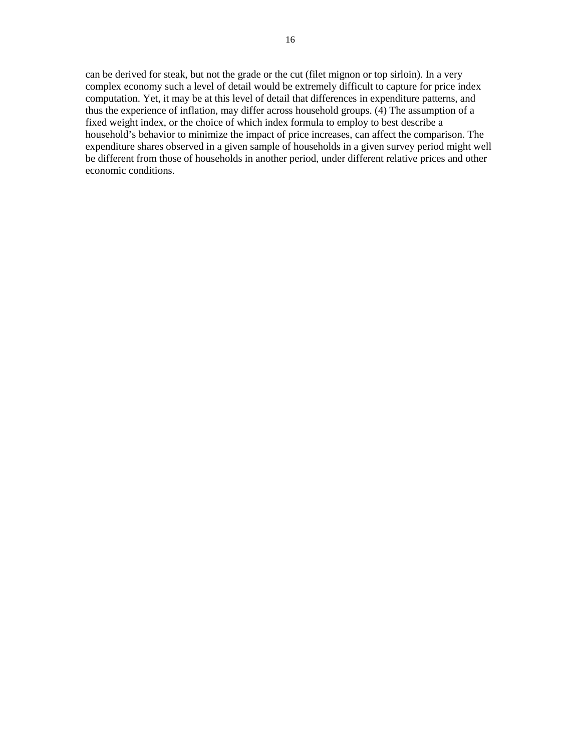can be derived for steak, but not the grade or the cut (filet mignon or top sirloin). In a very complex economy such a level of detail would be extremely difficult to capture for price index computation. Yet, it may be at this level of detail that differences in expenditure patterns, and thus the experience of inflation, may differ across household groups. (4) The assumption of a fixed weight index, or the choice of which index formula to employ to best describe a household's behavior to minimize the impact of price increases, can affect the comparison. The expenditure shares observed in a given sample of households in a given survey period might well be different from those of households in another period, under different relative prices and other economic conditions.